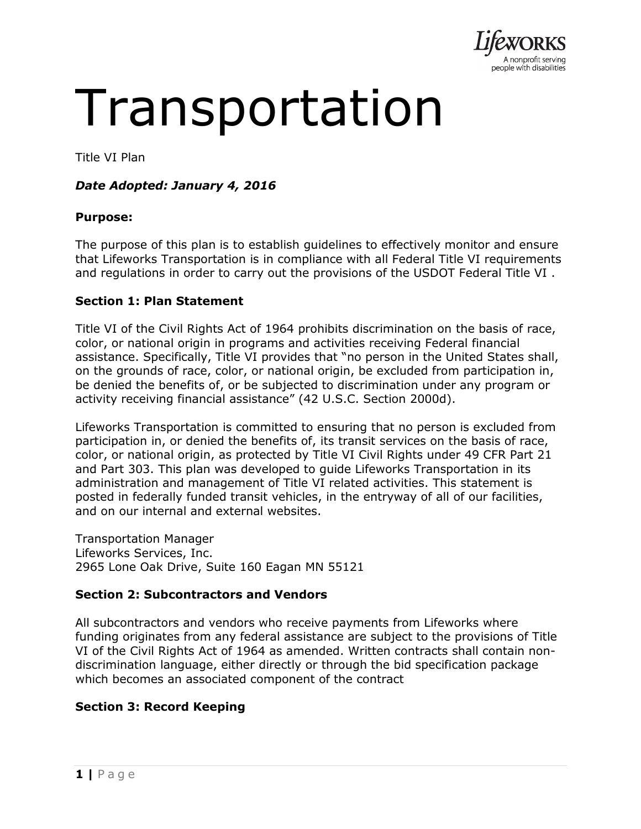

# Transportation

Title VI Plan

# *Date Adopted: January 4, 2016*

## **Purpose:**

The purpose of this plan is to establish guidelines to effectively monitor and ensure that Lifeworks Transportation is in compliance with all Federal Title VI requirements and regulations in order to carry out the provisions of the USDOT Federal Title VI .

## **Section 1: Plan Statement**

Title VI of the Civil Rights Act of 1964 prohibits discrimination on the basis of race, color, or national origin in programs and activities receiving Federal financial assistance. Specifically, Title VI provides that "no person in the United States shall, on the grounds of race, color, or national origin, be excluded from participation in, be denied the benefits of, or be subjected to discrimination under any program or activity receiving financial assistance" (42 U.S.C. Section 2000d).

Lifeworks Transportation is committed to ensuring that no person is excluded from participation in, or denied the benefits of, its transit services on the basis of race, color, or national origin, as protected by Title VI Civil Rights under 49 CFR Part 21 and Part 303. This plan was developed to guide Lifeworks Transportation in its administration and management of Title VI related activities. This statement is posted in federally funded transit vehicles, in the entryway of all of our facilities, and on our internal and external websites.

Transportation Manager Lifeworks Services, Inc. 2965 Lone Oak Drive, Suite 160 Eagan MN 55121

## **Section 2: Subcontractors and Vendors**

All subcontractors and vendors who receive payments from Lifeworks where funding originates from any federal assistance are subject to the provisions of Title VI of the Civil Rights Act of 1964 as amended. Written contracts shall contain nondiscrimination language, either directly or through the bid specification package which becomes an associated component of the contract

## **Section 3: Record Keeping**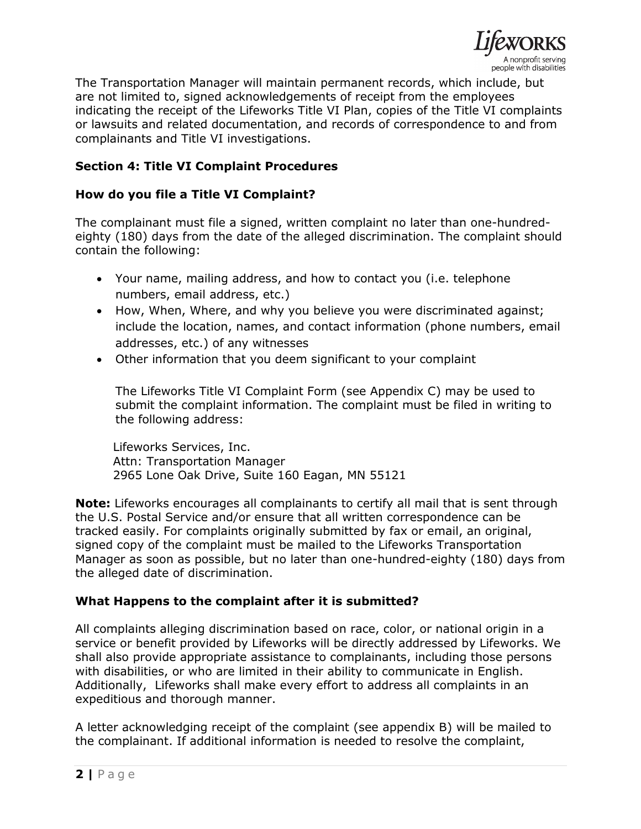

The Transportation Manager will maintain permanent records, which include, but are not limited to, signed acknowledgements of receipt from the employees indicating the receipt of the Lifeworks Title VI Plan, copies of the Title VI complaints or lawsuits and related documentation, and records of correspondence to and from complainants and Title VI investigations.

# **Section 4: Title VI Complaint Procedures**

## **How do you file a Title VI Complaint?**

The complainant must file a signed, written complaint no later than one-hundredeighty (180) days from the date of the alleged discrimination. The complaint should contain the following:

- Your name, mailing address, and how to contact you (i.e. telephone numbers, email address, etc.)
- How, When, Where, and why you believe you were discriminated against; include the location, names, and contact information (phone numbers, email addresses, etc.) of any witnesses
- Other information that you deem significant to your complaint

The Lifeworks Title VI Complaint Form (see Appendix C) may be used to submit the complaint information. The complaint must be filed in writing to the following address:

Lifeworks Services, Inc. Attn: Transportation Manager 2965 Lone Oak Drive, Suite 160 Eagan, MN 55121

**Note:** Lifeworks encourages all complainants to certify all mail that is sent through the U.S. Postal Service and/or ensure that all written correspondence can be tracked easily. For complaints originally submitted by fax or email, an original, signed copy of the complaint must be mailed to the Lifeworks Transportation Manager as soon as possible, but no later than one-hundred-eighty (180) days from the alleged date of discrimination.

## **What Happens to the complaint after it is submitted?**

All complaints alleging discrimination based on race, color, or national origin in a service or benefit provided by Lifeworks will be directly addressed by Lifeworks. We shall also provide appropriate assistance to complainants, including those persons with disabilities, or who are limited in their ability to communicate in English. Additionally, Lifeworks shall make every effort to address all complaints in an expeditious and thorough manner.

A letter acknowledging receipt of the complaint (see appendix B) will be mailed to the complainant. If additional information is needed to resolve the complaint,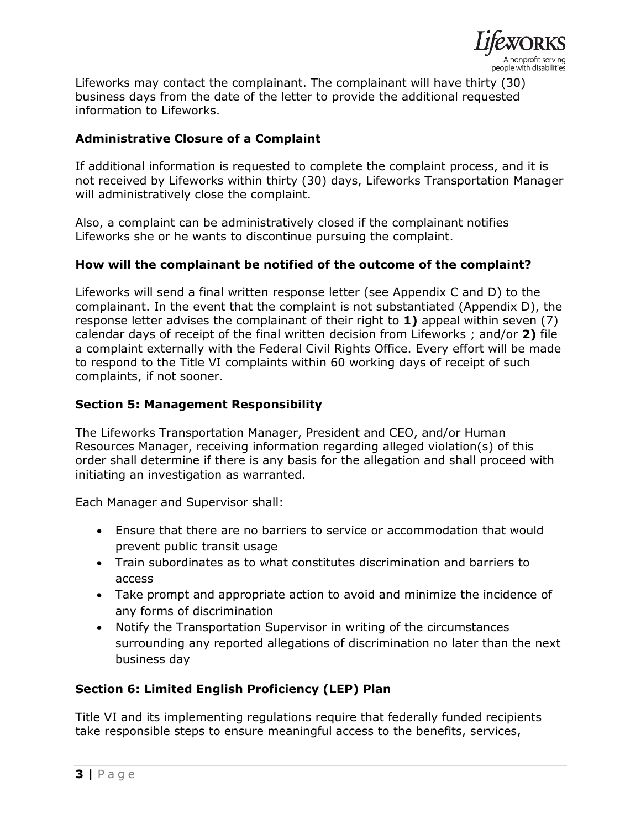

Lifeworks may contact the complainant. The complainant will have thirty (30) business days from the date of the letter to provide the additional requested information to Lifeworks.

# **Administrative Closure of a Complaint**

If additional information is requested to complete the complaint process, and it is not received by Lifeworks within thirty (30) days, Lifeworks Transportation Manager will administratively close the complaint.

Also, a complaint can be administratively closed if the complainant notifies Lifeworks she or he wants to discontinue pursuing the complaint.

## **How will the complainant be notified of the outcome of the complaint?**

Lifeworks will send a final written response letter (see Appendix C and D) to the complainant. In the event that the complaint is not substantiated (Appendix D), the response letter advises the complainant of their right to **1)** appeal within seven (7) calendar days of receipt of the final written decision from Lifeworks ; and/or **2)** file a complaint externally with the Federal Civil Rights Office. Every effort will be made to respond to the Title VI complaints within 60 working days of receipt of such complaints, if not sooner.

## **Section 5: Management Responsibility**

The Lifeworks Transportation Manager, President and CEO, and/or Human Resources Manager, receiving information regarding alleged violation(s) of this order shall determine if there is any basis for the allegation and shall proceed with initiating an investigation as warranted.

Each Manager and Supervisor shall:

- Ensure that there are no barriers to service or accommodation that would prevent public transit usage
- Train subordinates as to what constitutes discrimination and barriers to access
- Take prompt and appropriate action to avoid and minimize the incidence of any forms of discrimination
- Notify the Transportation Supervisor in writing of the circumstances surrounding any reported allegations of discrimination no later than the next business day

# **Section 6: Limited English Proficiency (LEP) Plan**

Title VI and its implementing regulations require that federally funded recipients take responsible steps to ensure meaningful access to the benefits, services,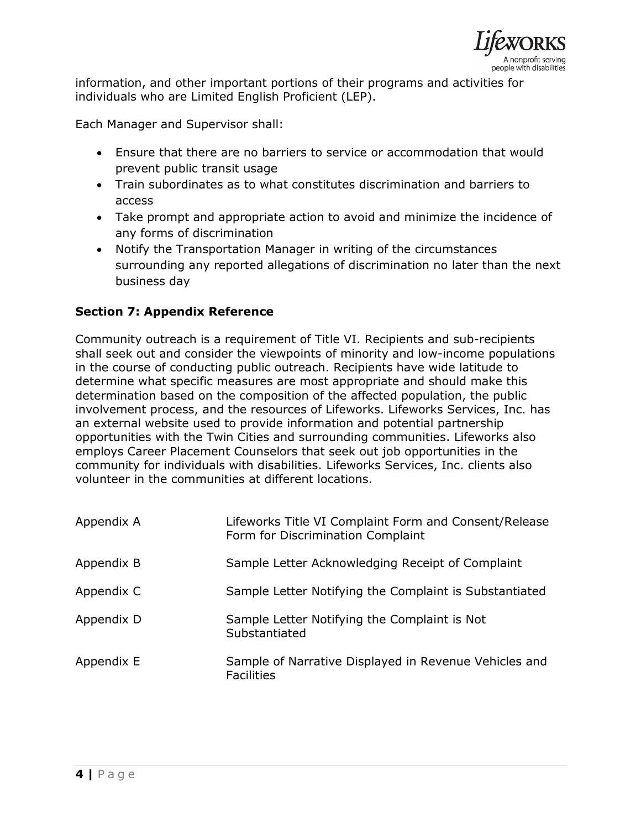

information, and other important portions of their programs and activities for individuals who are Limited English Proficient (LEP).

Each Manager and Supervisor shall:

- Ensure that there are no barriers to service or accommodation that would prevent public transit usage
- Train subordinates as to what constitutes discrimination and barriers to access
- Take prompt and appropriate action to avoid and minimize the incidence of any forms of discrimination
- Notify the Transportation Manager in writing of the circumstances surrounding any reported allegations of discrimination no later than the next business day

# **Section 7: Appendix Reference**

Community outreach is a requirement of Title VI. Recipients and sub-recipients shall seek out and consider the viewpoints of minority and low-income populations in the course of conducting public outreach. Recipients have wide latitude to determine what specific measures are most appropriate and should make this determination based on the composition of the affected population, the public involvement process, and the resources of Lifeworks. Lifeworks Services, Inc. has an external website used to provide information and potential partnership opportunities with the Twin Cities and surrounding communities. Lifeworks also employs Career Placement Counselors that seek out job opportunities in the community for individuals with disabilities. Lifeworks Services, Inc. clients also volunteer in the communities at different locations.

| Appendix A | Lifeworks Title VI Complaint Form and Consent/Release<br>Form for Discrimination Complaint |
|------------|--------------------------------------------------------------------------------------------|
| Appendix B | Sample Letter Acknowledging Receipt of Complaint                                           |
| Appendix C | Sample Letter Notifying the Complaint is Substantiated                                     |
| Appendix D | Sample Letter Notifying the Complaint is Not<br>Substantiated                              |
| Appendix E | Sample of Narrative Displayed in Revenue Vehicles and<br><b>Facilities</b>                 |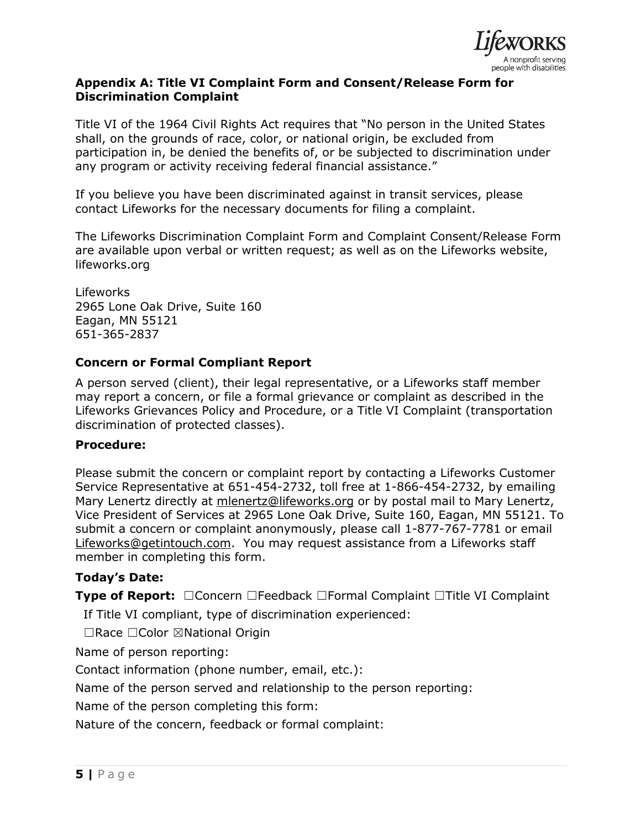

## **Appendix A: Title VI Complaint Form and Consent/Release Form for Discrimination Complaint**

Title VI of the 1964 Civil Rights Act requires that "No person in the United States shall, on the grounds of race, color, or national origin, be excluded from participation in, be denied the benefits of, or be subjected to discrimination under any program or activity receiving federal financial assistance."

If you believe you have been discriminated against in transit services, please contact Lifeworks for the necessary documents for filing a complaint.

The Lifeworks Discrimination Complaint Form and Complaint Consent/Release Form are available upon verbal or written request; as well as on the Lifeworks website, lifeworks.org

Lifeworks 2965 Lone Oak Drive, Suite 160 Eagan, MN 55121 651-365-2837

# **Concern or Formal Compliant Report**

A person served (client), their legal representative, or a Lifeworks staff member may report a concern, or file a formal grievance or complaint as described in the Lifeworks Grievances Policy and Procedure, or a Title VI Complaint (transportation discrimination of protected classes).

#### **Procedure:**

Please submit the concern or complaint report by contacting a Lifeworks Customer Service Representative at 651-454-2732, toll free at 1-866-454-2732, by emailing Mary Lenertz directly at [mlenertz@lifeworks.org](mailto:mlenertz@lifeworks.org) or by postal mail to Mary Lenertz, Vice President of Services at 2965 Lone Oak Drive, Suite 160, Eagan, MN 55121. To submit a concern or complaint anonymously, please call 1-877-767-7781 or email [Lifeworks@getintouch.com.](mailto:Lifeworks@getintouch.com) You may request assistance from a Lifeworks staff member in completing this form.

## **Today's Date:**

**Type of Report:** ☐Concern ☐Feedback ☐Formal Complaint ☐Title VI Complaint

If Title VI compliant, type of discrimination experienced:

☐Race ☐Color ☒National Origin

Name of person reporting:

Contact information (phone number, email, etc.):

Name of the person served and relationship to the person reporting:

Name of the person completing this form:

Nature of the concern, feedback or formal complaint: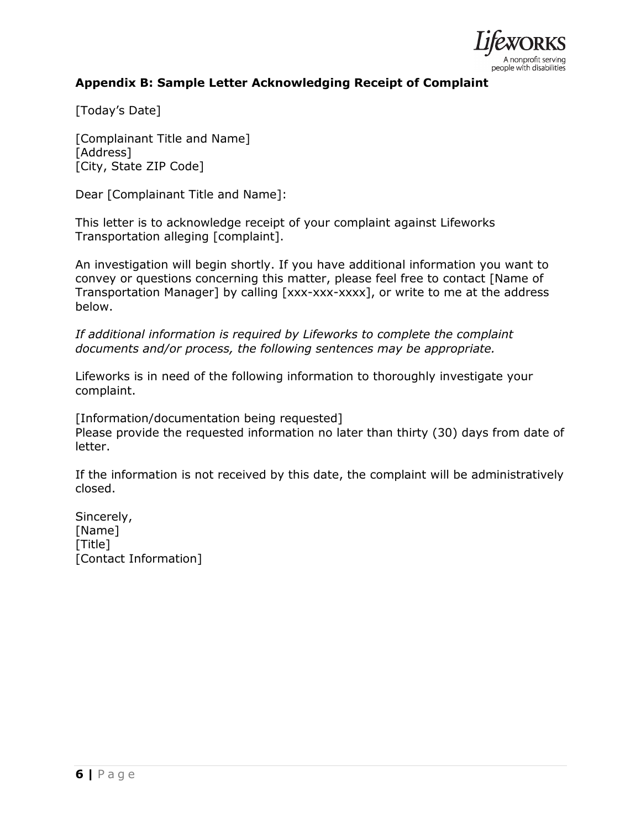

# **Appendix B: Sample Letter Acknowledging Receipt of Complaint**

[Today's Date]

[Complainant Title and Name] [Address] [City, State ZIP Code]

Dear [Complainant Title and Name]:

This letter is to acknowledge receipt of your complaint against Lifeworks Transportation alleging [complaint].

An investigation will begin shortly. If you have additional information you want to convey or questions concerning this matter, please feel free to contact [Name of Transportation Manager] by calling [xxx-xxx-xxxx], or write to me at the address below.

*If additional information is required by Lifeworks to complete the complaint documents and/or process, the following sentences may be appropriate.*

Lifeworks is in need of the following information to thoroughly investigate your complaint.

[Information/documentation being requested] Please provide the requested information no later than thirty (30) days from date of letter.

If the information is not received by this date, the complaint will be administratively closed.

Sincerely, [Name] [Title] [Contact Information]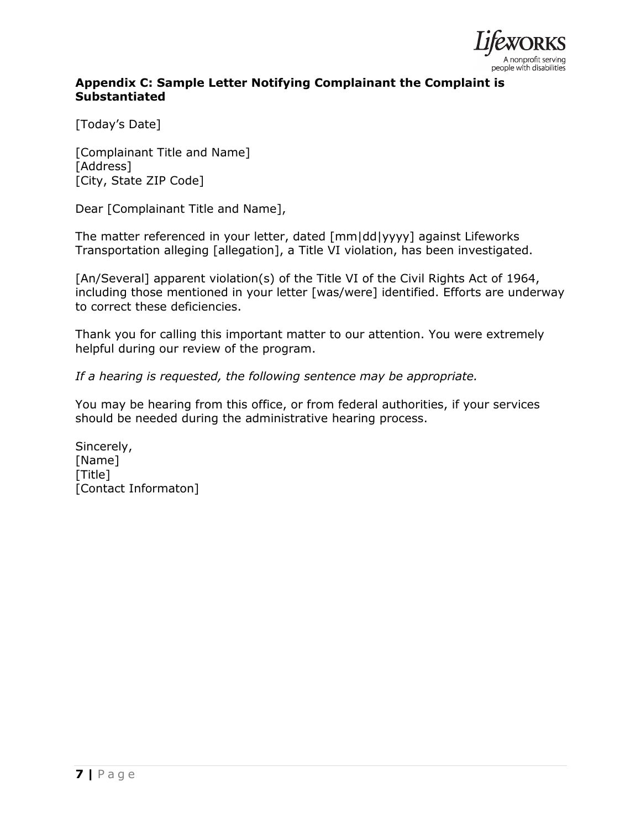

# **Appendix C: Sample Letter Notifying Complainant the Complaint is Substantiated**

[Today's Date]

[Complainant Title and Name] [Address] [City, State ZIP Code]

Dear [Complainant Title and Name],

The matter referenced in your letter, dated [mm|dd|yyyy] against Lifeworks Transportation alleging [allegation], a Title VI violation, has been investigated.

[An/Several] apparent violation(s) of the Title VI of the Civil Rights Act of 1964, including those mentioned in your letter [was/were] identified. Efforts are underway to correct these deficiencies.

Thank you for calling this important matter to our attention. You were extremely helpful during our review of the program.

*If a hearing is requested, the following sentence may be appropriate.*

You may be hearing from this office, or from federal authorities, if your services should be needed during the administrative hearing process.

Sincerely, [Name] [Title] [Contact Informaton]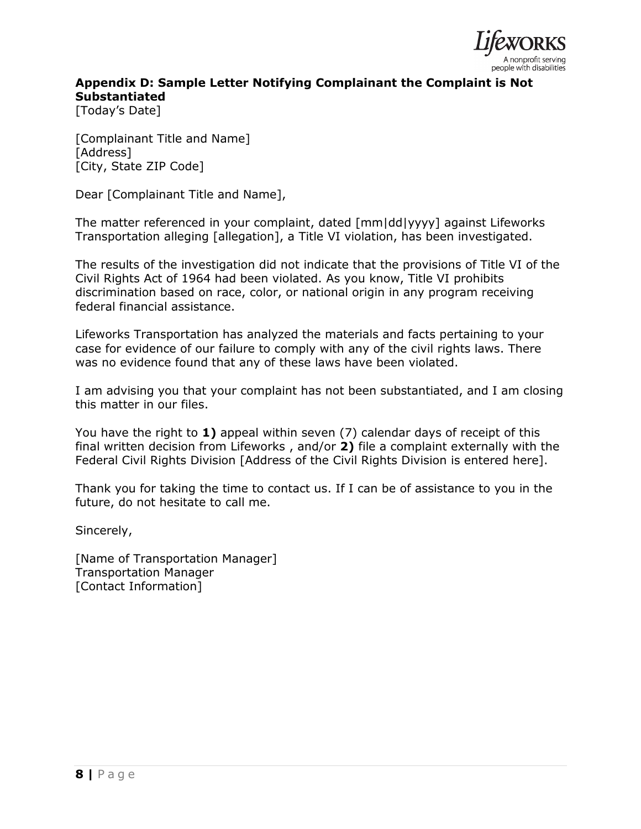

# **Appendix D: Sample Letter Notifying Complainant the Complaint is Not Substantiated**

[Today's Date]

[Complainant Title and Name] [Address] [City, State ZIP Code]

Dear [Complainant Title and Name],

The matter referenced in your complaint, dated [mm|dd|yyyy] against Lifeworks Transportation alleging [allegation], a Title VI violation, has been investigated.

The results of the investigation did not indicate that the provisions of Title VI of the Civil Rights Act of 1964 had been violated. As you know, Title VI prohibits discrimination based on race, color, or national origin in any program receiving federal financial assistance.

Lifeworks Transportation has analyzed the materials and facts pertaining to your case for evidence of our failure to comply with any of the civil rights laws. There was no evidence found that any of these laws have been violated.

I am advising you that your complaint has not been substantiated, and I am closing this matter in our files.

You have the right to **1)** appeal within seven (7) calendar days of receipt of this final written decision from Lifeworks , and/or **2)** file a complaint externally with the Federal Civil Rights Division [Address of the Civil Rights Division is entered here].

Thank you for taking the time to contact us. If I can be of assistance to you in the future, do not hesitate to call me.

Sincerely,

[Name of Transportation Manager] Transportation Manager [Contact Information]